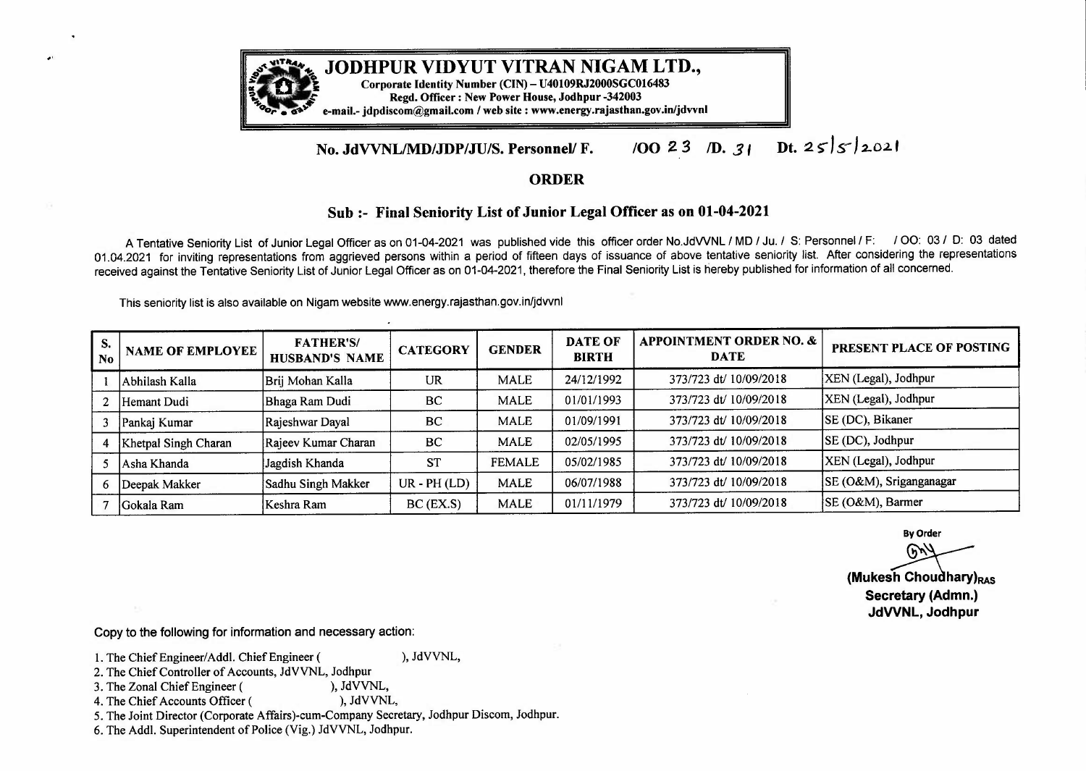

**JODHPUR VIDYUT VITRAN NIGAM LTD.,** *Corporate Identity Number (CIN)- U40109RJ2000SGC016483* 

Regd. Officer : New Power House, Jodhpur -342003

*or •* **o•"** e-mail.-jdpdiscom@gmail.com /website : www.energy.rajasthan.gov.in/jdvvnl

## Dt.  $255/2021$ **/00** *2 3 ID. 31*  **No. JdVVNL/MD/JDP/JU/S. Personnel/ F.**

## **ORDER**

## **Sub :- Final Seniority List of Junior Legal Officer as on 01-04-2021**

A Tentative Seniority List of Junior Legal Officer as on 01-04-2021 was published vide this officer order No.JdWNL /MD/ Ju./ S: Personnel/ F: / 00: 03 / D: 03 dated 01.04.2021 for inviting representations from aggrieved persons within a period of fifteen days of issuance of above tentative seniority list. After considering the representations received against the Tentative Seniority List of Junior Legal Officer as on 01-04-2021, therefore the Final Seniority List is hereby published for information of all concerned.

This seniority list is also available on Nigam website www.energy.rajasthan.gov.in/jdvvnl

| S.<br>  No | <b>NAME OF EMPLOYEE</b> | <b>FATHER'S/</b><br><b>HUSBAND'S NAME</b> | <b>CATEGORY</b>    | <b>GENDER</b> | <b>DATE OF</b><br><b>BIRTH</b> | <b>APPOINTMENT ORDER NO. &amp;</b><br><b>DATE</b> | PRESENT PLACE OF POSTING |
|------------|-------------------------|-------------------------------------------|--------------------|---------------|--------------------------------|---------------------------------------------------|--------------------------|
|            | Abhilash Kalla          | Brij Mohan Kalla                          | <b>UR</b>          | <b>MALE</b>   | 24/12/1992                     | 373/723 dt/ 10/09/2018                            | XEN (Legal), Jodhpur     |
|            | Hemant Dudi             | Bhaga Ram Dudi                            | BC                 | <b>MALE</b>   | 01/01/1993                     | 373/723 dt/ 10/09/2018                            | XEN (Legal), Jodhpur     |
|            | Pankaj Kumar            | Rajeshwar Dayal                           | BC                 | <b>MALE</b>   | 01/09/1991                     | 373/723 dt/ 10/09/2018                            | SE (DC), Bikaner         |
|            | Khetpal Singh Charan    | Rajeev Kumar Charan                       | BC                 | <b>MALE</b>   | 02/05/1995                     | 373/723 dt/ 10/09/2018                            | SE (DC), Jodhpur         |
|            | Asha Khanda             | Jagdish Khanda                            | <b>ST</b>          | <b>FEMALE</b> | 05/02/1985                     | 373/723 dt/ 10/09/2018                            | XEN (Legal), Jodhpur     |
|            | Deepak Makker           | Sadhu Singh Makker                        | $UR$ - $PH$ $(LD)$ | <b>MALE</b>   | 06/07/1988                     | 373/723 dt/ 10/09/2018                            | SE (O&M), Sriganganagar  |
|            | Gokala Ram              | Keshra Ram                                | BC (EX.S)          | <b>MALE</b>   | 01/11/1979                     | 373/723 dt/ 10/09/2018                            | SE (O&M), Barmer         |

**By Order (Mukesh Choudhary)**<br> **(Mukesh Choudhary)**<br> **(Mukesh Choudhary)**<br> **(Mukesh Choudhary)**<br> **(Mukesh Choudhary)**<br> **RAS** Secretary (Admn.) **Secretary (Admn.) JdWNL, Jodhpur** 

Copy to the following for information and necessary action:

- 1. The Chief Engineer/Addl. Chief Engineer ( ), JdVVNL,
- 2. The Chief Controller of Accounts, JdVVNL, Jodhpur<br>3. The Zonal Chief Engineer (), JdVVNL,
- 3. The Zonal Chief Engineer (  $\qquad \qquad$ ), JdVVNL,<br>
4. The Chief Accounts Officer (  $\qquad \qquad$ ), JdVVNL,
- 4. The Chief Accounts Officer (
- 5. The Joint Director (Corporate Affairs)-cum-Company Secretary, Jodhpur Discom, Jodhpur.
- 6. The Addi. Superintendent of Police (Vig.) JdVVNL, Jodhpur.